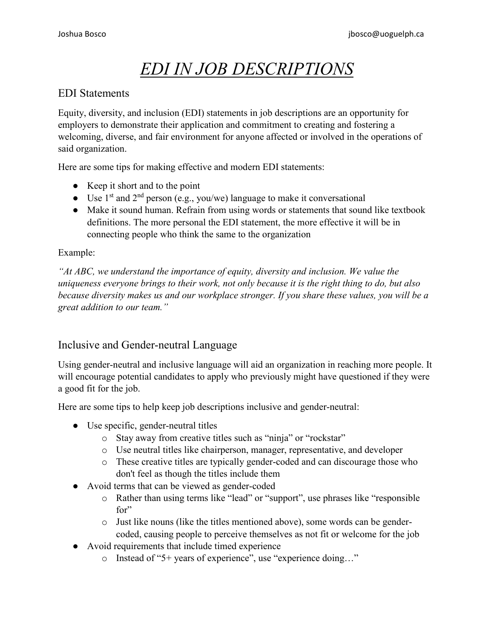# *EDI IN JOB DESCRIPTIONS*

### EDI Statements

Equity, diversity, and inclusion (EDI) statements in job descriptions are an opportunity for employers to demonstrate their application and commitment to creating and fostering a welcoming, diverse, and fair environment for anyone affected or involved in the operations of said organization.

Here are some tips for making effective and modern EDI statements:

- Keep it short and to the point
- Use  $1<sup>st</sup>$  and  $2<sup>nd</sup>$  person (e.g., you/we) language to make it conversational
- Make it sound human. Refrain from using words or statements that sound like textbook definitions. The more personal the EDI statement, the more effective it will be in connecting people who think the same to the organization

#### Example:

*"At ABC, we understand the importance of equity, diversity and inclusion. We value the uniqueness everyone brings to their work, not only because it is the right thing to do, but also because diversity makes us and our workplace stronger. If you share these values, you will be a great addition to our team."*

## Inclusive and Gender-neutral Language

Using gender-neutral and inclusive language will aid an organization in reaching more people. It will encourage potential candidates to apply who previously might have questioned if they were a good fit for the job.

Here are some tips to help keep job descriptions inclusive and gender-neutral:

- Use specific, gender-neutral titles
	- o Stay away from creative titles such as "ninja" or "rockstar"
	- o Use neutral titles like chairperson, manager, representative, and developer
	- o These creative titles are typically gender-coded and can discourage those who don't feel as though the titles include them
- Avoid terms that can be viewed as gender-coded
	- o Rather than using terms like "lead" or "support", use phrases like "responsible for"
	- o Just like nouns (like the titles mentioned above), some words can be gendercoded, causing people to perceive themselves as not fit or welcome for the job
- Avoid requirements that include timed experience
	- o Instead of "5+ years of experience", use "experience doing…"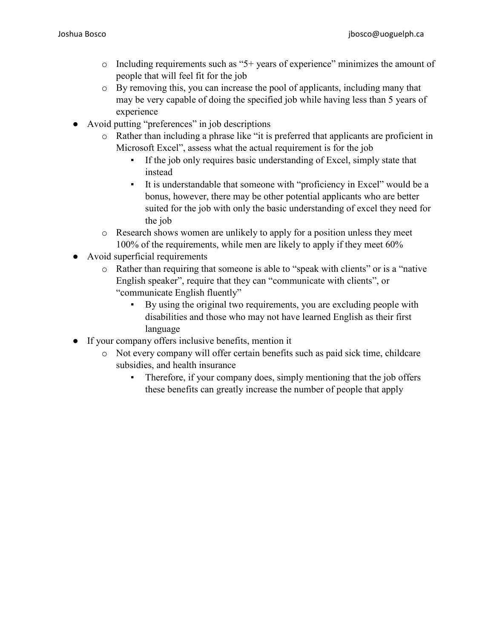- $\circ$  Including requirements such as "5+ years of experience" minimizes the amount of people that will feel fit for the job
- o By removing this, you can increase the pool of applicants, including many that may be very capable of doing the specified job while having less than 5 years of experience
- Avoid putting "preferences" in job descriptions
	- o Rather than including a phrase like "it is preferred that applicants are proficient in Microsoft Excel", assess what the actual requirement is for the job
		- If the job only requires basic understanding of Excel, simply state that instead
		- It is understandable that someone with "proficiency in Excel" would be a bonus, however, there may be other potential applicants who are better suited for the job with only the basic understanding of excel they need for the job
	- o Research shows women are unlikely to apply for a position unless they meet 100% of the requirements, while men are likely to apply if they meet 60%
- Avoid superficial requirements
	- o Rather than requiring that someone is able to "speak with clients" or is a "native English speaker", require that they can "communicate with clients", or "communicate English fluently"
		- By using the original two requirements, you are excluding people with disabilities and those who may not have learned English as their first language
- If your company offers inclusive benefits, mention it
	- o Not every company will offer certain benefits such as paid sick time, childcare subsidies, and health insurance
		- Therefore, if your company does, simply mentioning that the job offers these benefits can greatly increase the number of people that apply